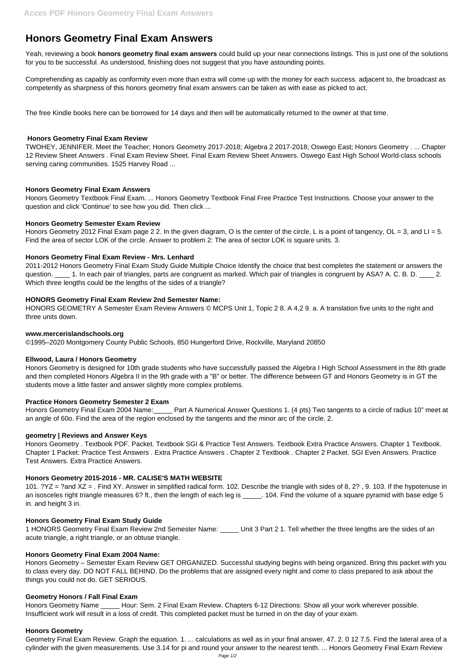# **Honors Geometry Final Exam Answers**

Yeah, reviewing a book **honors geometry final exam answers** could build up your near connections listings. This is just one of the solutions for you to be successful. As understood, finishing does not suggest that you have astounding points.

Comprehending as capably as conformity even more than extra will come up with the money for each success. adjacent to, the broadcast as competently as sharpness of this honors geometry final exam answers can be taken as with ease as picked to act.

The free Kindle books here can be borrowed for 14 days and then will be automatically returned to the owner at that time.

# **Honors Geometry Final Exam Review**

Honors Geometry 2012 Final Exam page 2 2. In the given diagram, O is the center of the circle, L is a point of tangency, OL = 3, and LI = 5. Find the area of sector LOK of the circle. Answer to problem 2: The area of sector LOK is square units. 3.

TWOHEY, JENNIFER. Meet the Teacher; Honors Geometry 2017-2018; Algebra 2 2017-2018; Oswego East; Honors Geometry . ... Chapter 12 Review Sheet Answers . Final Exam Review Sheet. Final Exam Review Sheet Answers. Oswego East High School World-class schools serving caring communities. 1525 Harvey Road ...

# **Honors Geometry Final Exam Answers**

Honors Geometry Textbook Final Exam. ... Honors Geometry Textbook Final Free Practice Test Instructions. Choose your answer to the question and click 'Continue' to see how you did. Then click ...

# **Honors Geometry Semester Exam Review**

# **Honors Geometry Final Exam Review - Mrs. Lenhard**

2011-2012 Honors Geometry Final Exam Study Guide Multiple Choice Identify the choice that best completes the statement or answers the question. 1. In each pair of triangles, parts are congruent as marked. Which pair of triangles is congruent by ASA? A. C. B. D. 2. Which three lengths could be the lengths of the sides of a triangle?

# **HONORS Geometry Final Exam Review 2nd Semester Name:**

HONORS GEOMETRY A Semester Exam Review Answers © MCPS Unit 1, Topic 2 8. A 4,2 9. a. A translation five units to the right and three units down.

## **www.mercerislandschools.org**

©1995–2020 Montgomery County Public Schools, 850 Hungerford Drive, Rockville, Maryland 20850

Honors Geometry Name Hour: Sem. 2 Final Exam Review. Chapters 6-12 Directions: Show all your work wherever possible. Insufficient work will result in a loss of credit. This completed packet must be turned in on the day of your exam.

## **Ellwood, Laura / Honors Geometry**

Honors Geometry is designed for 10th grade students who have successfully passed the Algebra I High School Assessment in the 8th grade and then completed Honors Algebra II in the 9th grade with a "B" or better. The difference between GT and Honors Geometry is in GT the students move a little faster and answer slightly more complex problems.

## **Practice Honors Geometry Semester 2 Exam**

Honors Geometry Final Exam 2004 Name:\_\_\_\_\_ Part A Numerical Answer Questions 1. (4 pts) Two tangents to a circle of radius 10" meet at an angle of 60o. Find the area of the region enclosed by the tangents and the minor arc of the circle. 2.

## **geometry | Reviews and Answer Keys**

Honors Geometry . Textbook PDF. Packet. Textbook SGI & Practice Test Answers. Textbook Extra Practice Answers. Chapter 1 Textbook. Chapter 1 Packet: Practice Test Answers . Extra Practice Answers . Chapter 2 Textbook . Chapter 2 Packet. SGI Even Answers. Practice Test Answers. Extra Practice Answers.

# **Honors Geometry 2015-2016 - MR. CALISE'S MATH WEBSITE**

101. ?YZ = ?and XZ = . Find XY. Answer in simplified radical form. 102. Describe the triangle with sides of 8, 2? , 9. 103. If the hypotenuse in an isosceles right triangle measures 6? ft., then the length of each leg is \_\_\_\_\_. 104. Find the volume of a square pyramid with base edge 5 in. and height 3 in.

#### **Honors Geometry Final Exam Study Guide**

1 HONORS Geometry Final Exam Review 2nd Semester Name: \_\_\_\_\_ Unit 3 Part 2 1. Tell whether the three lengths are the sides of an acute triangle, a right triangle, or an obtuse triangle.

#### **Honors Geometry Final Exam 2004 Name:**

Honors Geometry – Semester Exam Review GET ORGANIZED. Successful studying begins with being organized. Bring this packet with you to class every day. DO NOT FALL BEHIND. Do the problems that are assigned every night and come to class prepared to ask about the things you could not do. GET SERIOUS.

#### **Geometry Honors / Fall Final Exam**

#### **Honors Geometry**

Geometry Final Exam Review. Graph the equation. 1. ... calculations as well as in your final answer. 47. 2. 0 12 7.5. Find the lateral area of a cylinder with the given measurements. Use 3.14 for pi and round your answer to the nearest tenth. ... Honors Geometry Final Exam Review